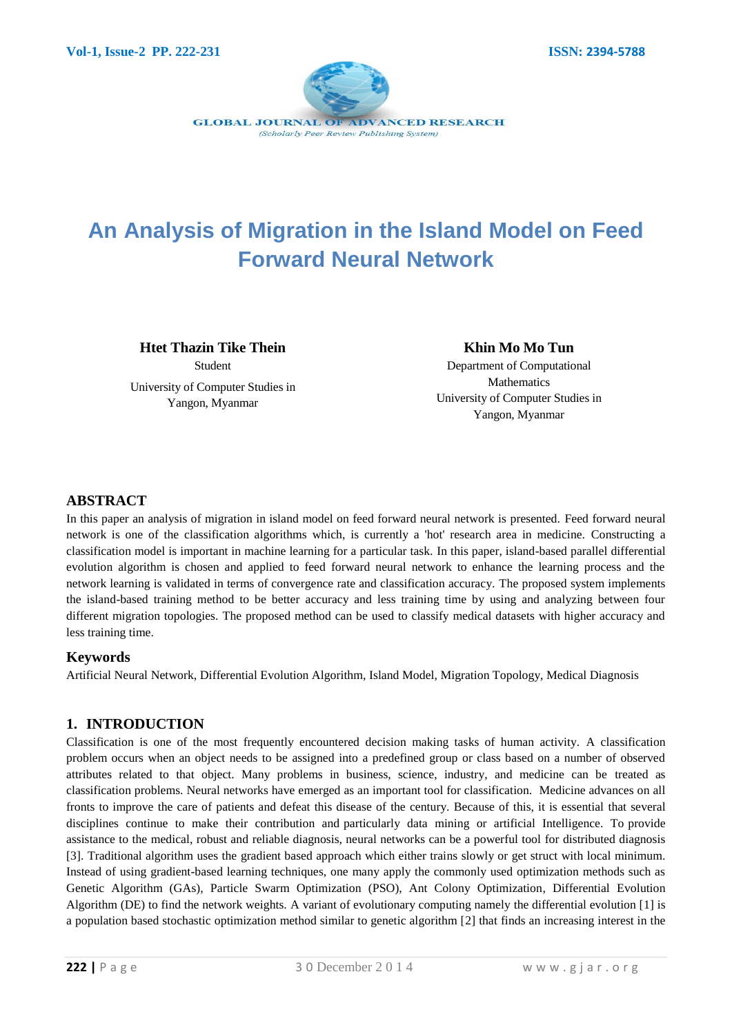

# **An Analysis of Migration in the Island Model on Feed Forward Neural Network**

**Htet Thazin Tike Thein**

Student University of Computer Studies in Yangon, Myanmar

**Khin Mo Mo Tun**

Department of Computational Mathematics University of Computer Studies in Yangon, Myanmar

#### **ABSTRACT**

In this paper an analysis of migration in island model on feed forward neural network is presented. Feed forward neural network is one of the classification algorithms which, is currently a 'hot' research area in medicine. Constructing a classification model is important in machine learning for a particular task. In this paper, island-based parallel differential evolution algorithm is chosen and applied to feed forward neural network to enhance the learning process and the network learning is validated in terms of convergence rate and classification accuracy. The proposed system implements the island-based training method to be better accuracy and less training time by using and analyzing between four different migration topologies. The proposed method can be used to classify medical datasets with higher accuracy and less training time.

## **Keywords**

Artificial Neural Network, Differential Evolution Algorithm, Island Model, Migration Topology, Medical Diagnosis

## **1. INTRODUCTION**

Classification is one of the most frequently encountered decision making tasks of human activity. A classification problem occurs when an object needs to be assigned into a predefined group or class based on a number of observed attributes related to that object. Many problems in business, science, industry, and medicine can be treated as classification problems. Neural networks have emerged as an important tool for classification. Medicine advances on all fronts to improve the care of patients and defeat this disease of the century. Because of this, it is essential that several disciplines continue to make their contribution and particularly data mining or artificial Intelligence. To provide assistance to the medical, robust and reliable diagnosis, neural networks can be a powerful tool for distributed diagnosis [3]. Traditional algorithm uses the gradient based approach which either trains slowly or get struct with local minimum. Instead of using gradient-based learning techniques, one many apply the commonly used optimization methods such as Genetic Algorithm (GAs), Particle Swarm Optimization (PSO), Ant Colony Optimization, Differential Evolution Algorithm (DE) to find the network weights. A variant of evolutionary computing namely the differential evolution [1] is a population based stochastic optimization method similar to genetic algorithm [2] that finds an increasing interest in the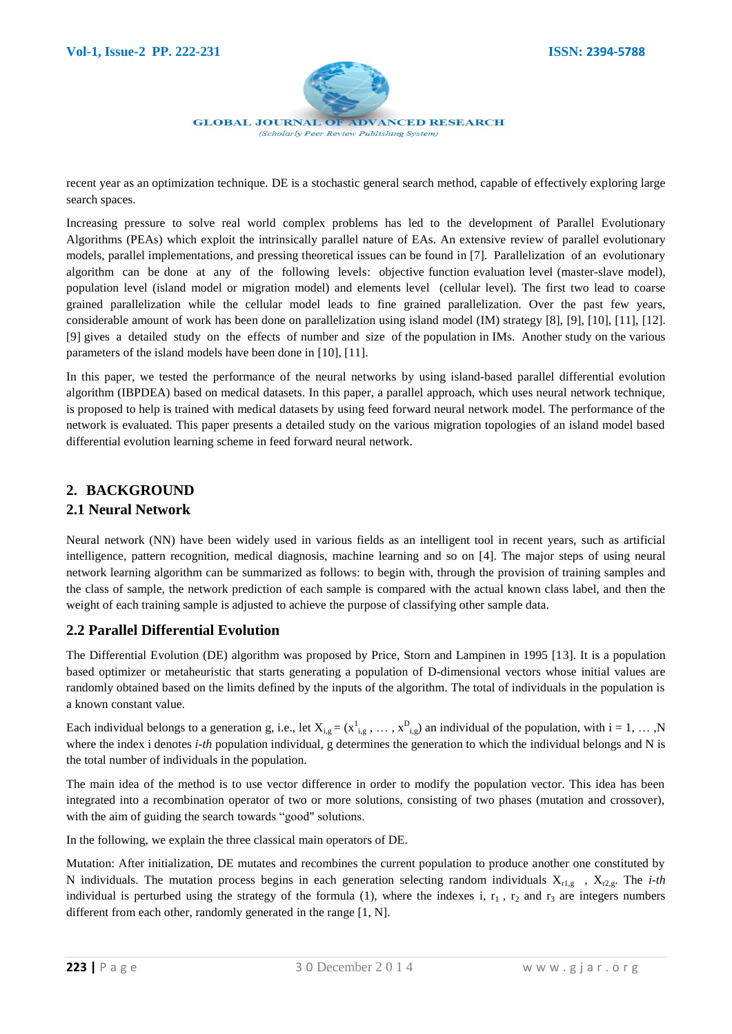

recent year as an optimization technique. DE is a stochastic general search method, capable of effectively exploring large search spaces.

Increasing pressure to solve real world complex problems has led to the development of Parallel Evolutionary Algorithms (PEAs) which exploit the intrinsically parallel nature of EAs. An extensive review of parallel evolutionary models, parallel implementations, and pressing theoretical issues can be found in [7]. Parallelization of an evolutionary algorithm can be done at any of the following levels: objective function evaluation level (master-slave model), population level (island model or migration model) and elements level (cellular level). The first two lead to coarse grained parallelization while the cellular model leads to fine grained parallelization. Over the past few years, considerable amount of work has been done on parallelization using island model (IM) strategy [8], [9], [10], [11], [12]. [9] gives a detailed study on the effects of number and size of the population in IMs. Another study on the various parameters of the island models have been done in [10], [11].

In this paper, we tested the performance of the neural networks by using island-based parallel differential evolution algorithm (IBPDEA) based on medical datasets. In this paper, a parallel approach, which uses neural network technique, is proposed to help is trained with medical datasets by using feed forward neural network model. The performance of the network is evaluated. This paper presents a detailed study on the various migration topologies of an island model based differential evolution learning scheme in feed forward neural network.

## **2. BACKGROUND**

#### **2.1 Neural Network**

Neural network (NN) have been widely used in various fields as an intelligent tool in recent years, such as artificial intelligence, pattern recognition, medical diagnosis, machine learning and so on [4]. The major steps of using neural network learning algorithm can be summarized as follows: to begin with, through the provision of training samples and the class of sample, the network prediction of each sample is compared with the actual known class label, and then the weight of each training sample is adjusted to achieve the purpose of classifying other sample data.

## **2.2 Parallel Differential Evolution**

The Differential Evolution (DE) algorithm was proposed by Price, Storn and Lampinen in 1995 [13]. It is a population based optimizer or metaheuristic that starts generating a population of D-dimensional vectors whose initial values are randomly obtained based on the limits defined by the inputs of the algorithm. The total of individuals in the population is a known constant value.

Each individual belongs to a generation g, i.e., let  $X_{i,g} = (x^1_{i,g}, \dots, x^D_{i,g})$  an individual of the population, with  $i = 1, \dots, N$ where the index *i* denotes *i-th* population individual, g determines the generation to which the individual belongs and N is the total number of individuals in the population.

The main idea of the method is to use vector difference in order to modify the population vector. This idea has been integrated into a recombination operator of two or more solutions, consisting of two phases (mutation and crossover), with the aim of guiding the search towards "good" solutions.

In the following, we explain the three classical main operators of DE.

Mutation: After initialization, DE mutates and recombines the current population to produce another one constituted by N individuals. The mutation process begins in each generation selecting random individuals  $X_{r1,g}$ ,  $X_{r2,g}$ . The *i-th* individual is perturbed using the strategy of the formula (1), where the indexes i,  $r_1$ ,  $r_2$  and  $r_3$  are integers numbers different from each other, randomly generated in the range [1, N].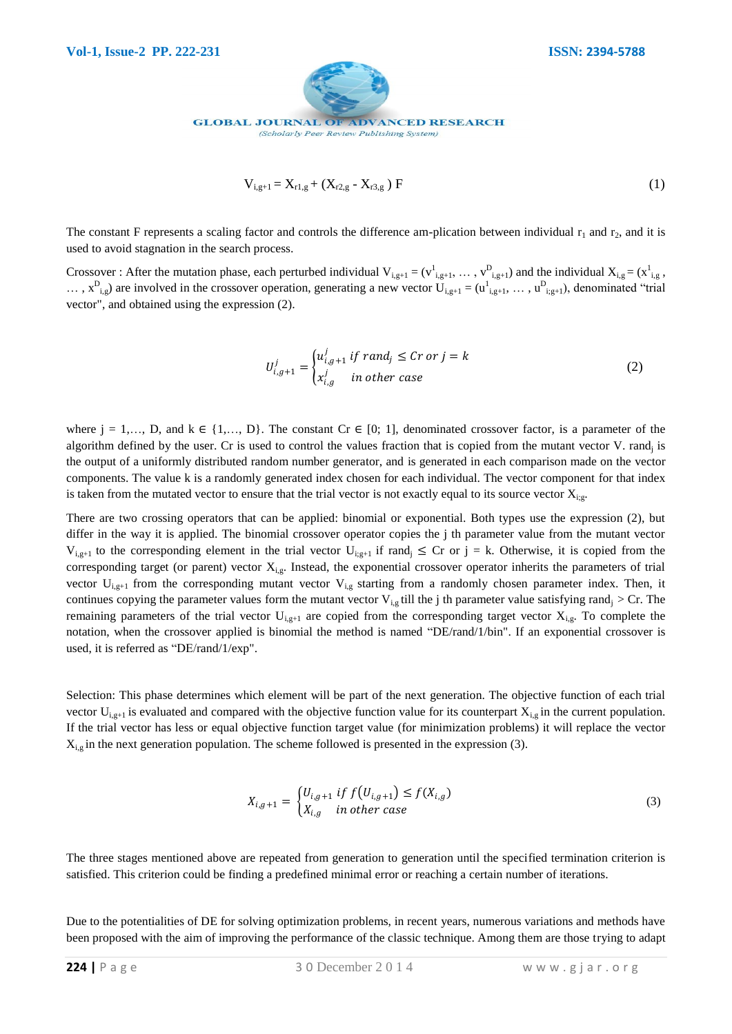

$$
V_{i,g+1} = X_{r1,g} + (X_{r2,g} - X_{r3,g}) F
$$
 (1)

The constant F represents a scaling factor and controls the difference am-plication between individual  $r_1$  and  $r_2$ , and it is used to avoid stagnation in the search process.

Crossover : After the mutation phase, each perturbed individual  $V_{i,g+1} = (v_{i,g+1}^1, \ldots, v_{i,g+1}^D)$  and the individual  $X_{i,g} = (x_{i,g}^1, \ldots, x_{i,g+1}^D)$ ...,  $x_{i,g}^D$  are involved in the crossover operation, generating a new vector  $U_{i,g+1} = (u_{i,g+1}^1, \ldots, u_{i,g+1}^D)$ , denominated "trial" vector", and obtained using the expression (2).

$$
U_{i,g+1}^j = \begin{cases} u_{i,g+1}^j & \text{if } rand_j \leq Cr \text{ or } j = k \\ x_{i,g}^j & \text{in } other \text{ case} \end{cases}
$$
 (2)

where  $j = 1, \ldots, D$ , and  $k \in \{1, \ldots, D\}$ . The constant Cr  $\in [0; 1]$ , denominated crossover factor, is a parameter of the algorithm defined by the user. Cr is used to control the values fraction that is copied from the mutant vector V. rand<sub>i</sub> is the output of a uniformly distributed random number generator, and is generated in each comparison made on the vector components. The value k is a randomly generated index chosen for each individual. The vector component for that index is taken from the mutated vector to ensure that the trial vector is not exactly equal to its source vector  $X_{i,g}$ .

There are two crossing operators that can be applied: binomial or exponential. Both types use the expression (2), but differ in the way it is applied. The binomial crossover operator copies the j th parameter value from the mutant vector  $V_{i,g+1}$  to the corresponding element in the trial vector  $U_{i,g+1}$  if rand<sub>j</sub>  $\leq$  Cr or j = k. Otherwise, it is copied from the corresponding target (or parent) vector  $X_{i,g}$ . Instead, the exponential crossover operator inherits the parameters of trial vector  $U_{i,g+1}$  from the corresponding mutant vector  $V_{i,g}$  starting from a randomly chosen parameter index. Then, it continues copying the parameter values form the mutant vector  $V_{i,g}$  till the j th parameter value satisfying rand<sub>i</sub> > Cr. The remaining parameters of the trial vector  $U_{i,g+1}$  are copied from the corresponding target vector  $X_{i,g}$ . To complete the notation, when the crossover applied is binomial the method is named "DE/rand/1/bin". If an exponential crossover is used, it is referred as "DE/rand/1/exp".

Selection: This phase determines which element will be part of the next generation. The objective function of each trial vector  $U_{i,g+1}$  is evaluated and compared with the objective function value for its counterpart  $X_{i,g}$  in the current population. If the trial vector has less or equal objective function target value (for minimization problems) it will replace the vector  $X_{i,g}$  in the next generation population. The scheme followed is presented in the expression (3).

$$
X_{i,g+1} = \begin{cases} U_{i,g+1} & \text{if } f(U_{i,g+1}) \le f(X_{i,g}) \\ X_{i,g} & \text{in other case} \end{cases}
$$
 (3)

The three stages mentioned above are repeated from generation to generation until the specified termination criterion is satisfied. This criterion could be finding a predefined minimal error or reaching a certain number of iterations.

Due to the potentialities of DE for solving optimization problems, in recent years, numerous variations and methods have been proposed with the aim of improving the performance of the classic technique. Among them are those trying to adapt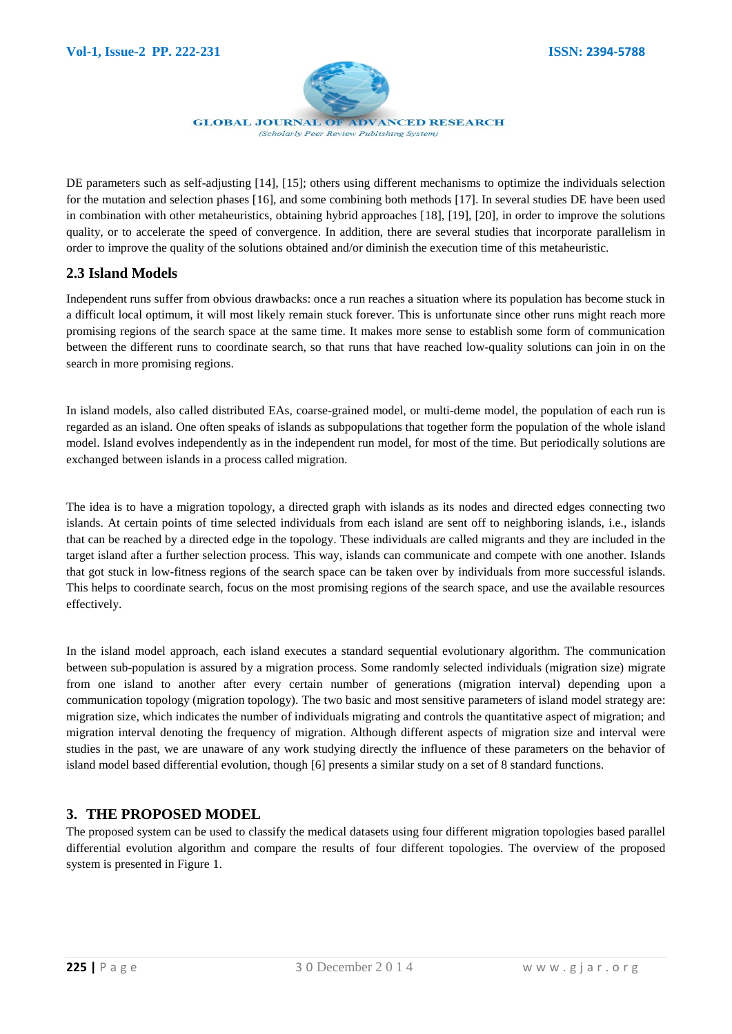

DE parameters such as self-adjusting [14], [15]; others using different mechanisms to optimize the individuals selection for the mutation and selection phases [16], and some combining both methods [17]. In several studies DE have been used in combination with other metaheuristics, obtaining hybrid approaches [18], [19], [20], in order to improve the solutions quality, or to accelerate the speed of convergence. In addition, there are several studies that incorporate parallelism in order to improve the quality of the solutions obtained and/or diminish the execution time of this metaheuristic.

## **2.3 Island Models**

Independent runs suffer from obvious drawbacks: once a run reaches a situation where its population has become stuck in a difficult local optimum, it will most likely remain stuck forever. This is unfortunate since other runs might reach more promising regions of the search space at the same time. It makes more sense to establish some form of communication between the different runs to coordinate search, so that runs that have reached low-quality solutions can join in on the search in more promising regions.

In island models, also called distributed EAs, coarse-grained model, or multi-deme model, the population of each run is regarded as an island. One often speaks of islands as subpopulations that together form the population of the whole island model. Island evolves independently as in the independent run model, for most of the time. But periodically solutions are exchanged between islands in a process called migration.

The idea is to have a migration topology, a directed graph with islands as its nodes and directed edges connecting two islands. At certain points of time selected individuals from each island are sent off to neighboring islands, i.e., islands that can be reached by a directed edge in the topology. These individuals are called migrants and they are included in the target island after a further selection process. This way, islands can communicate and compete with one another. Islands that got stuck in low-fitness regions of the search space can be taken over by individuals from more successful islands. This helps to coordinate search, focus on the most promising regions of the search space, and use the available resources effectively.

In the island model approach, each island executes a standard sequential evolutionary algorithm. The communication between sub-population is assured by a migration process. Some randomly selected individuals (migration size) migrate from one island to another after every certain number of generations (migration interval) depending upon a communication topology (migration topology). The two basic and most sensitive parameters of island model strategy are: migration size, which indicates the number of individuals migrating and controls the quantitative aspect of migration; and migration interval denoting the frequency of migration. Although different aspects of migration size and interval were studies in the past, we are unaware of any work studying directly the influence of these parameters on the behavior of island model based differential evolution, though [6] presents a similar study on a set of 8 standard functions.

## **3. THE PROPOSED MODEL**

The proposed system can be used to classify the medical datasets using four different migration topologies based parallel differential evolution algorithm and compare the results of four different topologies. The overview of the proposed system is presented in Figure 1.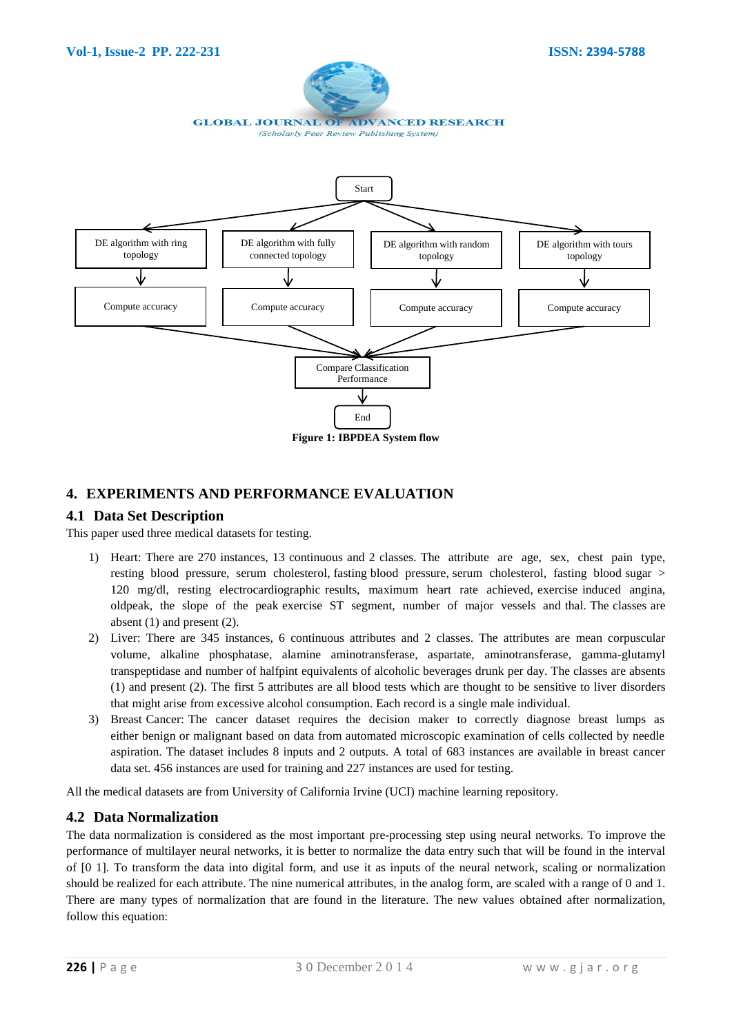



## **4. EXPERIMENTS AND PERFORMANCE EVALUATION**

#### **4.1 Data Set Description**

This paper used three medical datasets for testing.

- 1) Heart: There are 270 instances, 13 continuous and 2 classes. The attribute are age, sex, chest pain type, resting blood pressure, serum cholesterol, fasting blood pressure, serum cholesterol, fasting blood sugar > 120 mg/dl, resting electrocardiographic results, maximum heart rate achieved, exercise induced angina, oldpeak, the slope of the peak exercise ST segment, number of major vessels and thal. The classes are absent (1) and present (2).
- 2) Liver: There are 345 instances, 6 continuous attributes and 2 classes. The attributes are mean corpuscular volume, alkaline phosphatase, alamine aminotransferase, aspartate, aminotransferase, gamma-glutamyl transpeptidase and number of halfpint equivalents of alcoholic beverages drunk per day. The classes are absents (1) and present (2). The first 5 attributes are all blood tests which are thought to be sensitive to liver disorders that might arise from excessive alcohol consumption. Each record is a single male individual.
- 3) Breast Cancer: The cancer dataset requires the decision maker to correctly diagnose breast lumps as either benign or malignant based on data from automated microscopic examination of cells collected by needle aspiration. The dataset includes 8 inputs and 2 outputs. A total of 683 instances are available in breast cancer data set. 456 instances are used for training and 227 instances are used for testing.

All the medical datasets are from University of California Irvine (UCI) machine learning repository.

## **4.2 Data Normalization**

The data normalization is considered as the most important pre-processing step using neural networks. To improve the performance of multilayer neural networks, it is better to normalize the data entry such that will be found in the interval of [0 1]. To transform the data into digital form, and use it as inputs of the neural network, scaling or normalization should be realized for each attribute. The nine numerical attributes, in the analog form, are scaled with a range of 0 and 1. There are many types of normalization that are found in the literature. The new values obtained after normalization, follow this equation: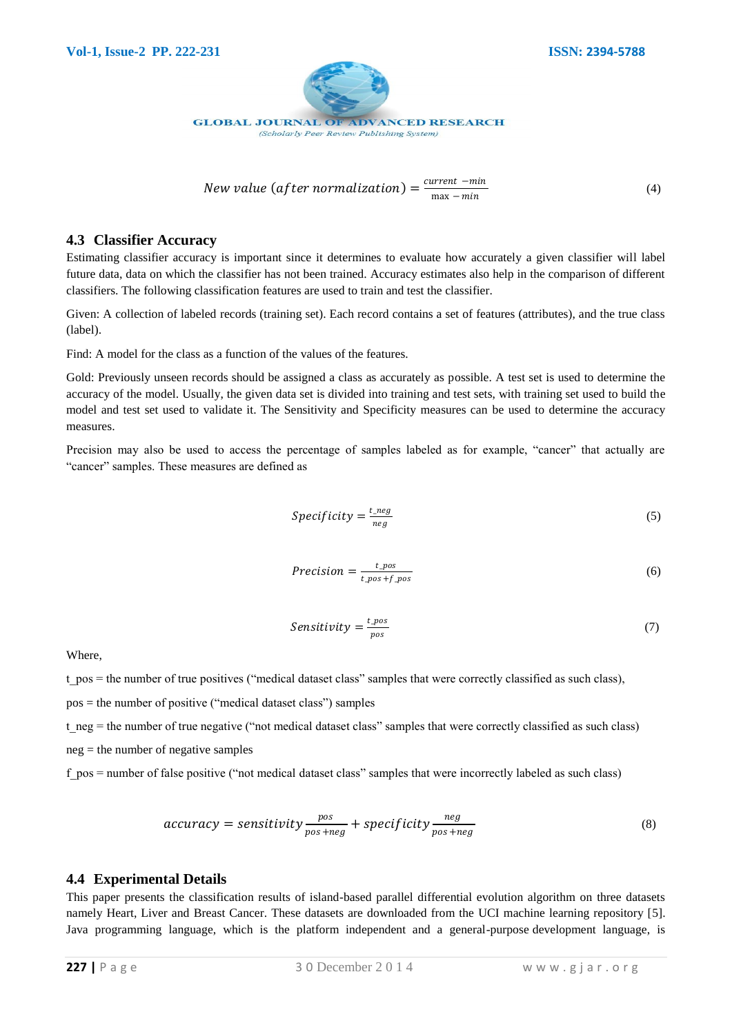

$$
New value (after normalization) = \frac{current - min}{max - min}
$$
 (4)

#### **4.3 Classifier Accuracy**

Estimating classifier accuracy is important since it determines to evaluate how accurately a given classifier will label future data, data on which the classifier has not been trained. Accuracy estimates also help in the comparison of different classifiers. The following classification features are used to train and test the classifier.

Given: A collection of labeled records (training set). Each record contains a set of features (attributes), and the true class (label).

Find: A model for the class as a function of the values of the features.

Gold: Previously unseen records should be assigned a class as accurately as possible. A test set is used to determine the accuracy of the model. Usually, the given data set is divided into training and test sets, with training set used to build the model and test set used to validate it. The Sensitivity and Specificity measures can be used to determine the accuracy measures.

Precision may also be used to access the percentage of samples labeled as for example, "cancer" that actually are "cancer" samples. These measures are defined as

$$
Specificity = \frac{t\_neg}{neg} \tag{5}
$$

$$
Precision = \frac{t\_pos}{t\_pos + f\_pos}
$$
 (6)

$$
Sensitivity = \frac{t_{\text{pos}}}{pos} \tag{7}
$$

Where,

t\_pos = the number of true positives ("medical dataset class" samples that were correctly classified as such class),

pos = the number of positive ("medical dataset class") samples

t\_neg = the number of true negative ("not medical dataset class" samples that were correctly classified as such class)

neg = the number of negative samples

f\_pos = number of false positive ("not medical dataset class" samples that were incorrectly labeled as such class)

$$
accuracy = sensitivity \frac{pos}{pos + neg} + specificity \frac{neg}{pos + neg}
$$
 (8)

## **4.4 Experimental Details**

This paper presents the classification results of island-based parallel differential evolution algorithm on three datasets namely Heart, Liver and Breast Cancer. These datasets are downloaded from the UCI machine learning repository [5]. Java programming language, which is the platform independent and a general-purpose development language, is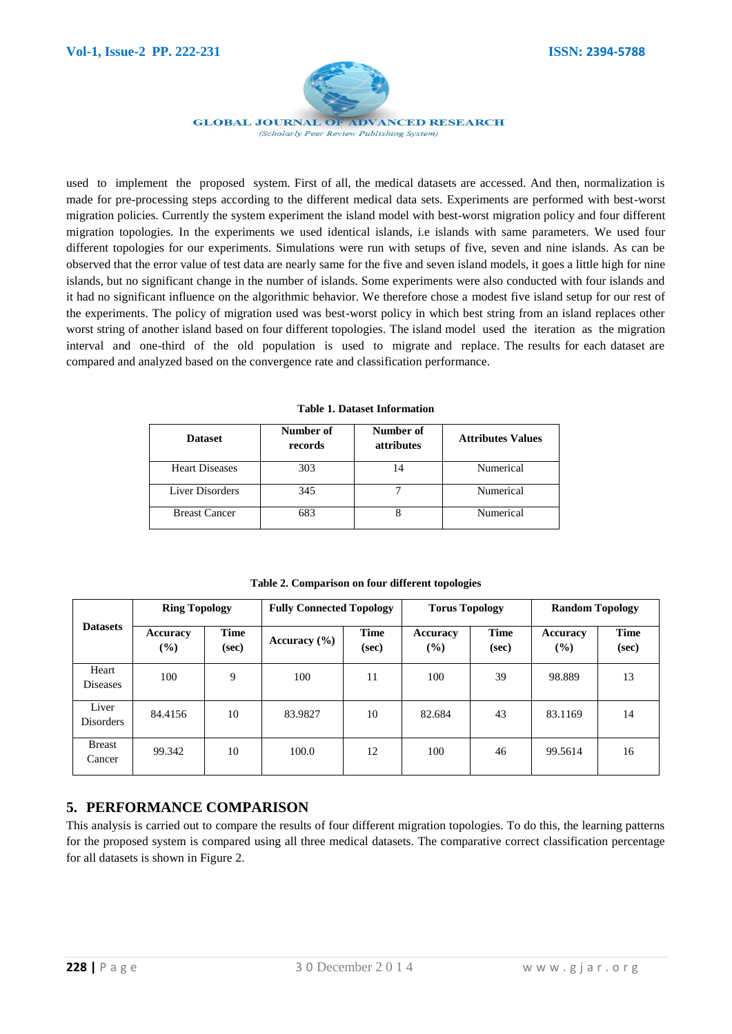

**GLOBAL JOURNAL OF ADVANCED RESEARCH** (Scholarly Peer Review Publishing System)

used to implement the proposed system. First of all, the medical datasets are accessed. And then, normalization is made for pre-processing steps according to the different medical data sets. Experiments are performed with best-worst migration policies. Currently the system experiment the island model with best-worst migration policy and four different migration topologies. In the experiments we used identical islands, i.e islands with same parameters. We used four different topologies for our experiments. Simulations were run with setups of five, seven and nine islands. As can be observed that the error value of test data are nearly same for the five and seven island models, it goes a little high for nine islands, but no significant change in the number of islands. Some experiments were also conducted with four islands and it had no significant influence on the algorithmic behavior. We therefore chose a modest five island setup for our rest of the experiments. The policy of migration used was best-worst policy in which best string from an island replaces other worst string of another island based on four different topologies. The island model used the iteration as the migration interval and one-third of the old population is used to migrate and replace. The results for each dataset are compared and analyzed based on the convergence rate and classification performance.

| <b>Dataset</b>        | Number of<br>records | Number of<br>attributes | <b>Attributes Values</b> |  |  |
|-----------------------|----------------------|-------------------------|--------------------------|--|--|
| <b>Heart Diseases</b> | 303                  |                         | Numerical                |  |  |
| Liver Disorders       | 345                  |                         | Numerical                |  |  |
| <b>Breast Cancer</b>  | 683                  |                         | Numerical                |  |  |

**Table 1. Dataset Information**

**Table 2. Comparison on four different topologies**

| <b>Datasets</b>           | <b>Ring Topology</b>      |                      | <b>Fully Connected Topology</b> |                      | <b>Torus Topology</b> |                      | <b>Random Topology</b> |                      |
|---------------------------|---------------------------|----------------------|---------------------------------|----------------------|-----------------------|----------------------|------------------------|----------------------|
|                           | Accuracy<br>$\frac{9}{6}$ | <b>Time</b><br>(sec) | Accuracy $(\% )$                | <b>Time</b><br>(sec) | Accuracy<br>$($ %)    | <b>Time</b><br>(sec) | Accuracy<br>(%)        | <b>Time</b><br>(sec) |
| Heart<br><b>Diseases</b>  | 100                       | 9                    | 100                             | 11                   | 100                   | 39                   | 98.889                 | 13                   |
| Liver<br><b>Disorders</b> | 84.4156                   | 10                   | 83.9827                         | 10                   | 82.684                | 43                   | 83.1169                | 14                   |
| <b>Breast</b><br>Cancer   | 99.342                    | 10                   | 100.0                           | 12                   | 100                   | 46                   | 99.5614                | 16                   |

## **5. PERFORMANCE COMPARISON**

This analysis is carried out to compare the results of four different migration topologies. To do this, the learning patterns for the proposed system is compared using all three medical datasets. The comparative correct classification percentage for all datasets is shown in Figure 2.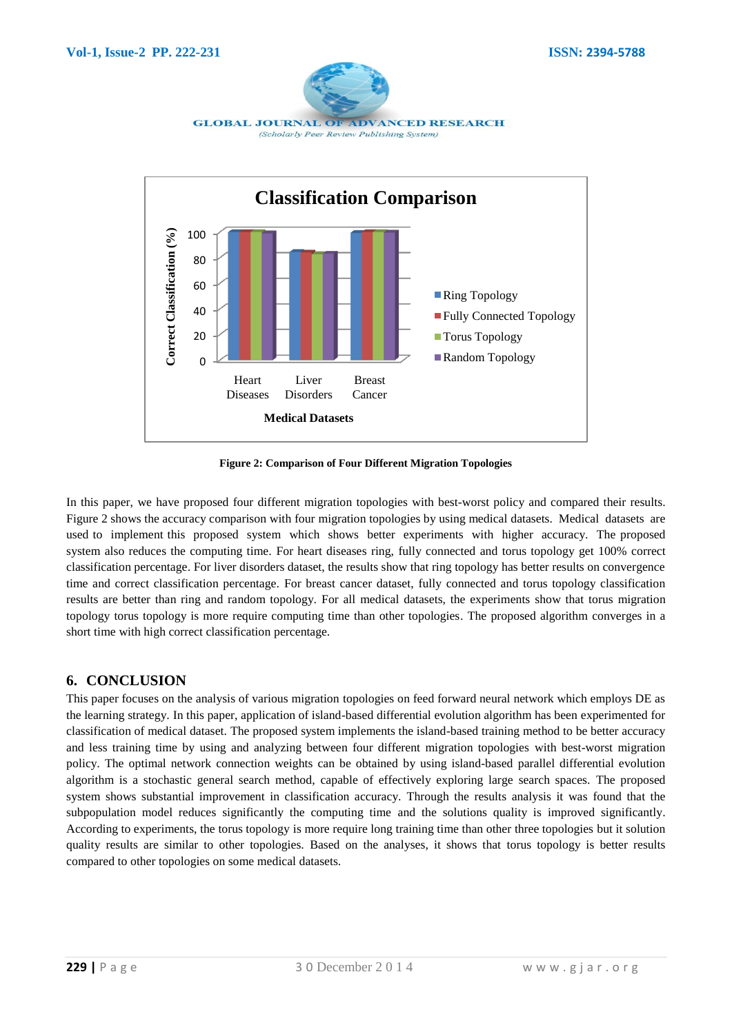



**Figure 2: Comparison of Four Different Migration Topologies**

In this paper, we have proposed four different migration topologies with best-worst policy and compared their results. Figure 2 shows the accuracy comparison with four migration topologies by using medical datasets. Medical datasets are used to implement this proposed system which shows better experiments with higher accuracy. The proposed system also reduces the computing time. For heart diseases ring, fully connected and torus topology get 100% correct classification percentage. For liver disorders dataset, the results show that ring topology has better results on convergence time and correct classification percentage. For breast cancer dataset, fully connected and torus topology classification results are better than ring and random topology. For all medical datasets, the experiments show that torus migration topology torus topology is more require computing time than other topologies. The proposed algorithm converges in a short time with high correct classification percentage.

## **6. CONCLUSION**

This paper focuses on the analysis of various migration topologies on feed forward neural network which employs DE as the learning strategy. In this paper, application of island-based differential evolution algorithm has been experimented for classification of medical dataset. The proposed system implements the island-based training method to be better accuracy and less training time by using and analyzing between four different migration topologies with best-worst migration policy. The optimal network connection weights can be obtained by using island-based parallel differential evolution algorithm is a stochastic general search method, capable of effectively exploring large search spaces. The proposed system shows substantial improvement in classification accuracy. Through the results analysis it was found that the subpopulation model reduces significantly the computing time and the solutions quality is improved significantly. According to experiments, the torus topology is more require long training time than other three topologies but it solution quality results are similar to other topologies. Based on the analyses, it shows that torus topology is better results compared to other topologies on some medical datasets.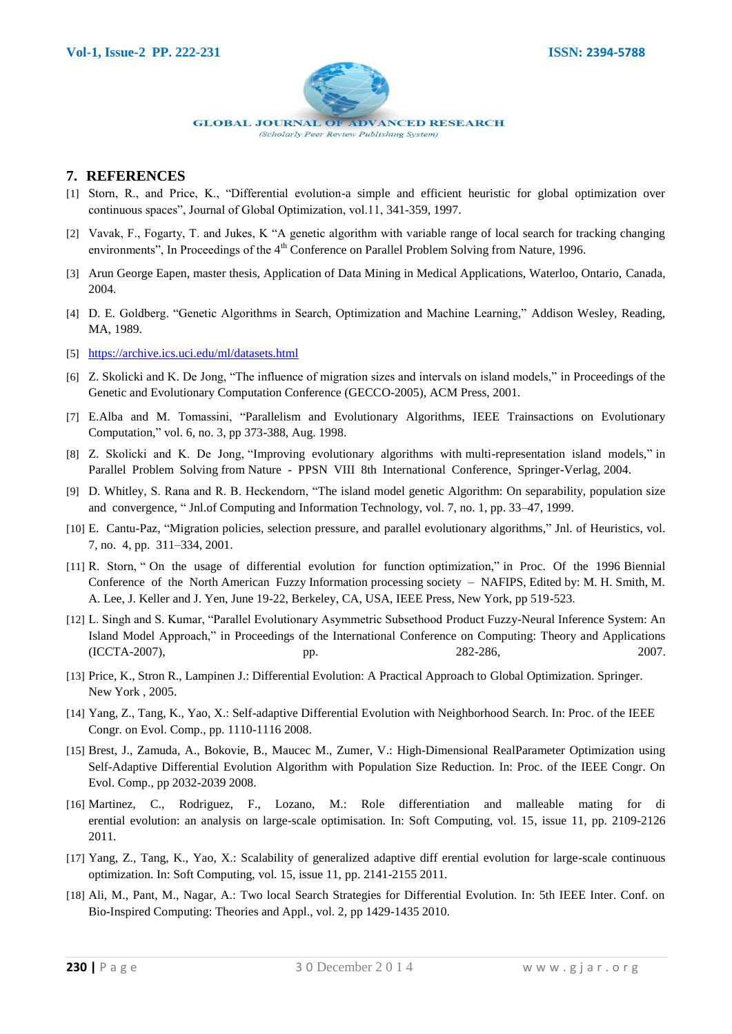

#### **7. REFERENCES**

- [1] Storn, R., and Price, K., "Differential evolution-a simple and efficient heuristic for global optimization over continuous spaces", Journal of Global Optimization, vol.11, 341-359, 1997.
- [2] Vavak, F., Fogarty, T. and Jukes, K "A genetic algorithm with variable range of local search for tracking changing environments", In Proceedings of the 4<sup>th</sup> Conference on Parallel Problem Solving from Nature, 1996.
- [3] Arun George Eapen, master thesis, Application of Data Mining in Medical Applications, Waterloo, Ontario, Canada, 2004.
- [4] D. E. Goldberg. "Genetic Algorithms in Search, Optimization and Machine Learning," Addison Wesley, Reading, MA, 1989.
- [5] <https://archive.ics.uci.edu/ml/datasets.html>
- [6] Z. Skolicki and K. De Jong, "The influence of migration sizes and intervals on island models," in Proceedings of the Genetic and Evolutionary Computation Conference (GECCO-2005), ACM Press, 2001.
- [7] E.Alba and M. Tomassini, "Parallelism and Evolutionary Algorithms, IEEE Trainsactions on Evolutionary Computation," vol. 6, no. 3, pp 373-388, Aug. 1998.
- [8] Z. Skolicki and K. De Jong, "Improving evolutionary algorithms with multi-representation island models," in Parallel Problem Solving from Nature - PPSN VIII 8th International Conference, Springer-Verlag, 2004.
- [9] D. Whitley, S. Rana and R. B. Heckendorn, "The island model genetic Algorithm: On separability, population size and convergence, " Jnl.of Computing and Information Technology, vol. 7, no. 1, pp. 33–47, 1999.
- [10] E. Cantu-Paz, "Migration policies, selection pressure, and parallel evolutionary algorithms," Jnl. of Heuristics, vol. 7, no. 4, pp. 311–334, 2001.
- [11] R. Storn, " On the usage of differential evolution for function optimization," in Proc. Of the 1996 Biennial Conference of the North American Fuzzy Information processing society – NAFIPS, Edited by: M. H. Smith, M. A. Lee, J. Keller and J. Yen, June 19-22, Berkeley, CA, USA, IEEE Press, New York, pp 519-523.
- [12] L. Singh and S. Kumar, "Parallel Evolutionary Asymmetric Subsethood Product Fuzzy-Neural Inference System: An Island Model Approach," in Proceedings of the International Conference on Computing: Theory and Applications (ICCTA-2007), pp. 282-286, 2007.
- [13] Price, K., Stron R., Lampinen J.: Differential Evolution: A Practical Approach to Global Optimization. Springer. New York , 2005.
- [14] Yang, Z., Tang, K., Yao, X.: Self-adaptive Differential Evolution with Neighborhood Search. In: Proc. of the IEEE Congr. on Evol. Comp., pp. 1110-1116 2008.
- [15] Brest, J., Zamuda, A., Bokovie, B., Maucec M., Zumer, V.: High-Dimensional RealParameter Optimization using Self-Adaptive Differential Evolution Algorithm with Population Size Reduction. In: Proc. of the IEEE Congr. On Evol. Comp., pp 2032-2039 2008.
- [16] Martinez, C., Rodriguez, F., Lozano, M.: Role differentiation and malleable mating for di erential evolution: an analysis on large-scale optimisation. In: Soft Computing, vol. 15, issue 11, pp. 2109-2126 2011.
- [17] Yang, Z., Tang, K., Yao, X.: Scalability of generalized adaptive diff erential evolution for large-scale continuous optimization. In: Soft Computing, vol. 15, issue 11, pp. 2141-2155 2011.
- [18] Ali, M., Pant, M., Nagar, A.: Two local Search Strategies for Differential Evolution. In: 5th IEEE Inter. Conf. on Bio-Inspired Computing: Theories and Appl., vol. 2, pp 1429-1435 2010.